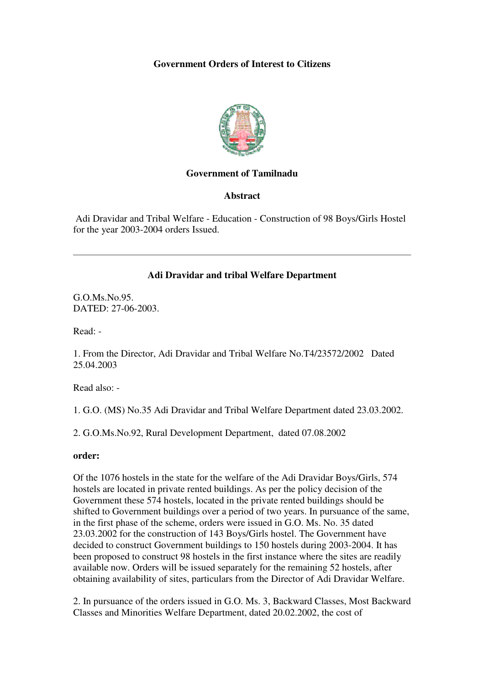# **Government Orders of Interest to Citizens**



## **Government of Tamilnadu**

## **Abstract**

 Adi Dravidar and Tribal Welfare - Education - Construction of 98 Boys/Girls Hostel for the year 2003-2004 orders Issued.

## **Adi Dravidar and tribal Welfare Department**

G.O.Ms.No.95. DATED: 27-06-2003.

Read: -

1. From the Director, Adi Dravidar and Tribal Welfare No.T4/23572/2002 Dated 25.04.2003

Read also: -

1. G.O. (MS) No.35 Adi Dravidar and Tribal Welfare Department dated 23.03.2002.

2. G.O.Ms.No.92, Rural Development Department, dated 07.08.2002

#### **order:**

Of the 1076 hostels in the state for the welfare of the Adi Dravidar Boys/Girls, 574 hostels are located in private rented buildings. As per the policy decision of the Government these 574 hostels, located in the private rented buildings should be shifted to Government buildings over a period of two years. In pursuance of the same, in the first phase of the scheme, orders were issued in G.O. Ms. No. 35 dated 23.03.2002 for the construction of 143 Boys/Girls hostel. The Government have decided to construct Government buildings to 150 hostels during 2003-2004. It has been proposed to construct 98 hostels in the first instance where the sites are readily available now. Orders will be issued separately for the remaining 52 hostels, after obtaining availability of sites, particulars from the Director of Adi Dravidar Welfare.

2. In pursuance of the orders issued in G.O. Ms. 3, Backward Classes, Most Backward Classes and Minorities Welfare Department, dated 20.02.2002, the cost of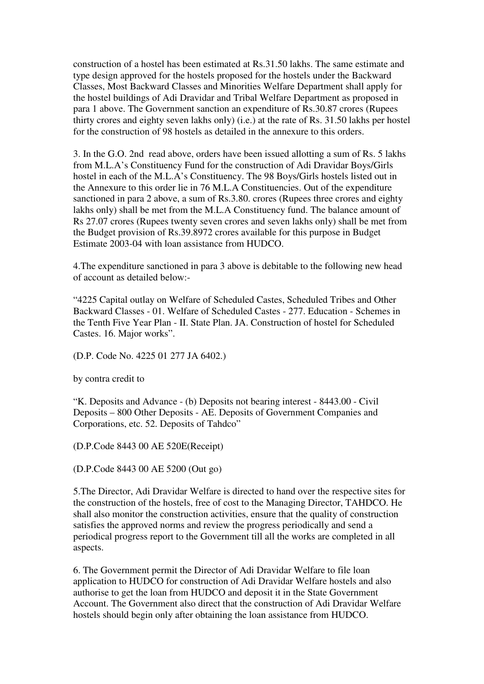construction of a hostel has been estimated at Rs.31.50 lakhs. The same estimate and type design approved for the hostels proposed for the hostels under the Backward Classes, Most Backward Classes and Minorities Welfare Department shall apply for the hostel buildings of Adi Dravidar and Tribal Welfare Department as proposed in para 1 above. The Government sanction an expenditure of Rs.30.87 crores (Rupees thirty crores and eighty seven lakhs only) (i.e.) at the rate of Rs. 31.50 lakhs per hostel for the construction of 98 hostels as detailed in the annexure to this orders.

3. In the G.O. 2nd read above, orders have been issued allotting a sum of Rs. 5 lakhs from M.L.A's Constituency Fund for the construction of Adi Dravidar Boys/Girls hostel in each of the M.L.A's Constituency. The 98 Boys/Girls hostels listed out in the Annexure to this order lie in 76 M.L.A Constituencies. Out of the expenditure sanctioned in para 2 above, a sum of Rs.3.80. crores (Rupees three crores and eighty lakhs only) shall be met from the M.L.A Constituency fund. The balance amount of Rs 27.07 crores (Rupees twenty seven crores and seven lakhs only) shall be met from the Budget provision of Rs.39.8972 crores available for this purpose in Budget Estimate 2003-04 with loan assistance from HUDCO.

4.The expenditure sanctioned in para 3 above is debitable to the following new head of account as detailed below:-

"4225 Capital outlay on Welfare of Scheduled Castes, Scheduled Tribes and Other Backward Classes - 01. Welfare of Scheduled Castes - 277. Education - Schemes in the Tenth Five Year Plan - II. State Plan. JA. Construction of hostel for Scheduled Castes. 16. Major works".

(D.P. Code No. 4225 01 277 JA 6402.)

by contra credit to

"K. Deposits and Advance - (b) Deposits not bearing interest - 8443.00 - Civil Deposits – 800 Other Deposits - AE. Deposits of Government Companies and Corporations, etc. 52. Deposits of Tahdco"

(D.P.Code 8443 00 AE 520E(Receipt)

(D.P.Code 8443 00 AE 5200 (Out go)

5.The Director, Adi Dravidar Welfare is directed to hand over the respective sites for the construction of the hostels, free of cost to the Managing Director, TAHDCO. He shall also monitor the construction activities, ensure that the quality of construction satisfies the approved norms and review the progress periodically and send a periodical progress report to the Government till all the works are completed in all aspects.

6. The Government permit the Director of Adi Dravidar Welfare to file loan application to HUDCO for construction of Adi Dravidar Welfare hostels and also authorise to get the loan from HUDCO and deposit it in the State Government Account. The Government also direct that the construction of Adi Dravidar Welfare hostels should begin only after obtaining the loan assistance from HUDCO.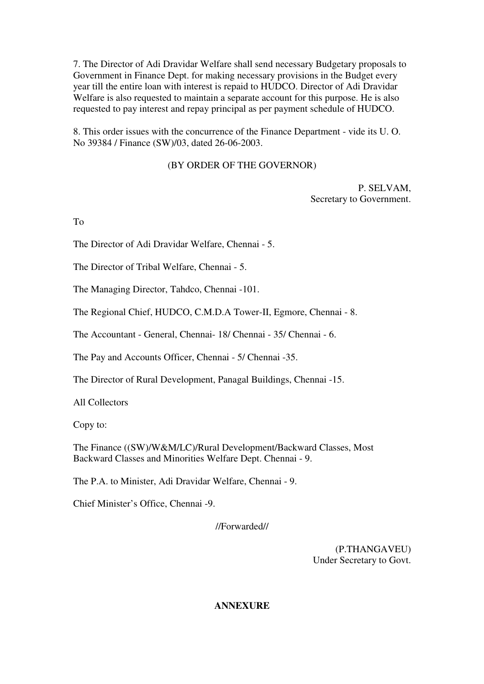7. The Director of Adi Dravidar Welfare shall send necessary Budgetary proposals to Government in Finance Dept. for making necessary provisions in the Budget every year till the entire loan with interest is repaid to HUDCO. Director of Adi Dravidar Welfare is also requested to maintain a separate account for this purpose. He is also requested to pay interest and repay principal as per payment schedule of HUDCO.

8. This order issues with the concurrence of the Finance Department - vide its U. O. No 39384 / Finance (SW)/03, dated 26-06-2003.

# (BY ORDER OF THE GOVERNOR)

P. SELVAM, Secretary to Government.

To

The Director of Adi Dravidar Welfare, Chennai - 5.

The Director of Tribal Welfare, Chennai - 5.

The Managing Director, Tahdco, Chennai -101.

The Regional Chief, HUDCO, C.M.D.A Tower-II, Egmore, Chennai - 8.

The Accountant - General, Chennai- 18/ Chennai - 35/ Chennai - 6.

The Pay and Accounts Officer, Chennai - 5/ Chennai -35.

The Director of Rural Development, Panagal Buildings, Chennai -15.

All Collectors

Copy to:

The Finance ((SW)/W&M/LC)/Rural Development/Backward Classes, Most Backward Classes and Minorities Welfare Dept. Chennai - 9.

The P.A. to Minister, Adi Dravidar Welfare, Chennai - 9.

Chief Minister's Office, Chennai -9.

//Forwarded//

(P.THANGAVEU) Under Secretary to Govt.

**ANNEXURE**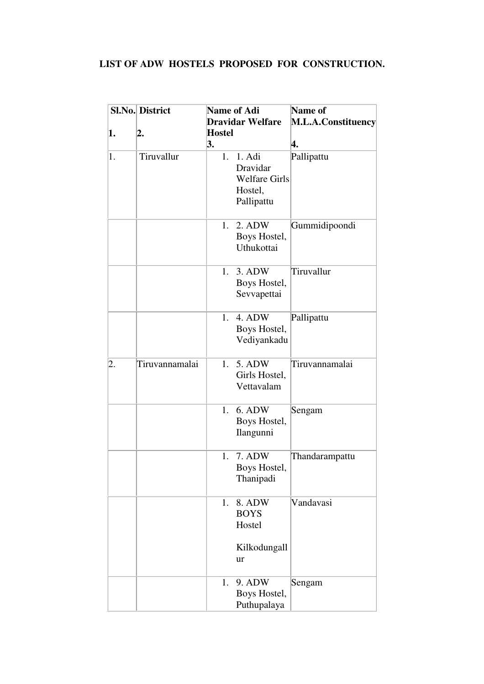# **LIST OF ADW HOSTELS PROPOSED FOR CONSTRUCTION.**

|    | <b>Sl.No. District</b> | Name of Adi                                                            | Name of            |  |
|----|------------------------|------------------------------------------------------------------------|--------------------|--|
|    |                        | <b>Dravidar Welfare</b>                                                | M.L.A.Constituency |  |
| 1. | 2.                     | <b>Hostel</b><br>3.                                                    | 4.                 |  |
| 1. | Tiruvallur             | 1. 1. Adi<br>Dravidar<br><b>Welfare Girls</b><br>Hostel,<br>Pallipattu | Pallipattu         |  |
|    |                        | 2. ADW<br>1.<br>Boys Hostel,<br>Uthukottai                             | Gummidipoondi      |  |
|    |                        | 1.<br>3. ADW<br>Boys Hostel,<br>Sevvapettai                            | Tiruvallur         |  |
|    |                        | 1. 4. ADW<br>Boys Hostel,<br>Vediyankadu                               | Pallipattu         |  |
| 2. | Tiruvannamalai         | 5. ADW<br>1.<br>Girls Hostel,<br>Vettavalam                            | Tiruvannamalai     |  |
|    |                        | 1. 6. ADW<br>Boys Hostel,<br>Ilangunni                                 | Sengam             |  |
|    |                        | 1. 7. ADW<br>Boys Hostel,<br>Thanipadi                                 | Thandarampattu     |  |
|    |                        | 8. ADW<br>1.<br><b>BOYS</b><br>Hostel<br>Kilkodungall                  | Vandavasi          |  |
|    |                        | ur                                                                     |                    |  |
|    |                        | 9. ADW<br>1.<br>Boys Hostel,<br>Puthupalaya                            | Sengam             |  |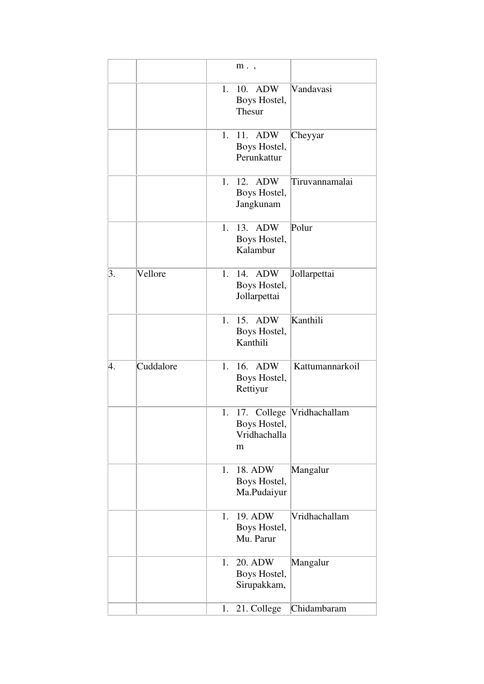|    |           | $m.$ ,                                                             |                 |
|----|-----------|--------------------------------------------------------------------|-----------------|
|    |           | 10.<br><b>ADW</b><br>1.<br>Boys Hostel,<br>Thesur                  | Vandavasi       |
|    |           | 1.<br>11. ADW<br>Boys Hostel,<br>Perunkattur                       | Cheyyar         |
|    |           | 12.<br><b>ADW</b><br>1.<br>Boys Hostel,<br>Jangkunam               | Tiruvannamalai  |
|    |           | 1. 13.<br><b>ADW</b><br>Boys Hostel,<br>Kalambur                   | Polur           |
| 3. | Vellore   | 1.<br>14.<br><b>ADW</b><br>Boys Hostel,<br>Jollarpettai            | Jollarpettai    |
|    |           | 1.<br>15. ADW<br>Boys Hostel,<br>Kanthili                          | Kanthili        |
| 4. | Cuddalore | 16. ADW<br>1.<br>Boys Hostel,<br>Rettiyur                          | Kattumannarkoil |
|    |           | 1. 17. College  Vridhachallam<br>Boys Hostel,<br>Vridhachalla<br>m |                 |
|    |           | 18. ADW<br>1.<br>Boys Hostel,<br>Ma.Pudaiyur                       | Mangalur        |
|    |           | 19. ADW<br>1.<br>Boys Hostel,<br>Mu. Parur                         | Vridhachallam   |
|    |           | 20. ADW<br>1.<br>Boys Hostel,<br>Sirupakkam,                       | Mangalur        |
|    |           | 21. College<br>1.                                                  | Chidambaram     |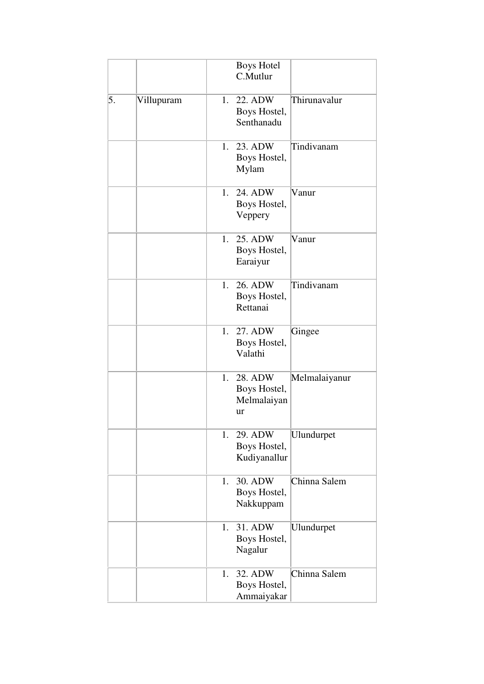|    |            | <b>Boys Hotel</b><br>C.Mutlur                                             |
|----|------------|---------------------------------------------------------------------------|
| 5. | Villupuram | Thirunavalur<br>1. 22. ADW<br>Boys Hostel,<br>Senthanadu                  |
|    |            | Tindivanam<br>1.<br>23. ADW<br>Boys Hostel,<br>Mylam                      |
|    |            | 1.<br>24. ADW<br>Vanur<br>Boys Hostel,<br>Veppery                         |
|    |            | 25. ADW<br>Vanur<br>1.<br>Boys Hostel,<br>Earaiyur                        |
|    |            | Tindivanam<br>26. ADW<br>1.<br>Boys Hostel,<br>Rettanai                   |
|    |            | 27. ADW<br>1.<br>Gingee<br>Boys Hostel,<br>Valathi                        |
|    |            | 1.<br>28. ADW<br>Melmalaiyanur<br>Boys Hostel,<br>Melmalaiyan<br>ur       |
|    |            | 1. 29. ADW<br>Ulundurpet<br>Boys Hostel,<br>Kudiyanallur                  |
|    |            | 30. ADW<br>Chinna Salem<br>$1_{\cdot}$<br>Boys Hostel,<br>Nakkuppam       |
|    |            | 31. ADW<br>Ulundurpet<br>1.<br>Boys Hostel,<br>Nagalur                    |
|    |            | $\overline{3}$ 2. ADW<br>Chinna Salem<br>1.<br>Boys Hostel,<br>Ammaiyakar |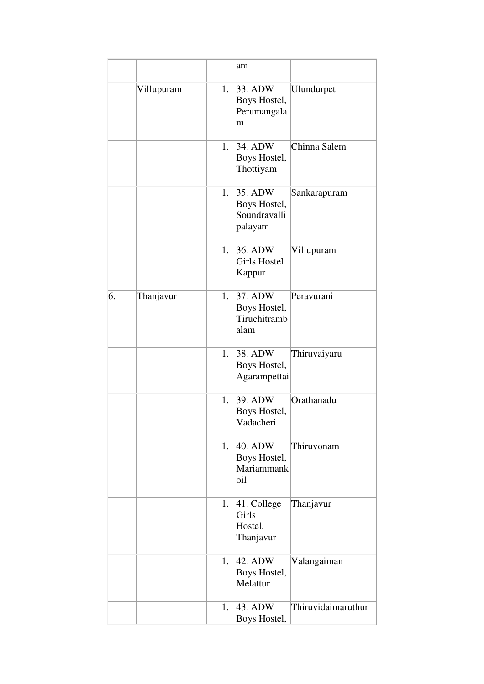|    |            |    | am                                                 |                    |
|----|------------|----|----------------------------------------------------|--------------------|
|    | Villupuram | 1. | 33. ADW<br>Boys Hostel,<br>Perumangala<br>m        | Ulundurpet         |
|    |            | 1. | 34. ADW<br>Boys Hostel,<br>Thottiyam               | Chinna Salem       |
|    |            | 1. | 35. ADW<br>Boys Hostel,<br>Soundravalli<br>palayam | Sankarapuram       |
|    |            | 1. | 36. ADW<br><b>Girls Hostel</b><br>Kappur           | Villupuram         |
| 6. | Thanjavur  | 1. | 37. ADW<br>Boys Hostel,<br>Tiruchitramb<br>alam    | Peravurani         |
|    |            | 1. | 38. ADW<br>Boys Hostel,<br>Agarampettai            | Thiruvaiyaru       |
|    |            | 1. | 39. ADW<br>Boys Hostel,<br>Vadacheri               | Orathanadu         |
|    |            | 1. | 40. ADW<br>Boys Hostel,<br>Mariammank<br>oil       | Thiruvonam         |
|    |            |    | 1. 41. College<br>Girls<br>Hostel,<br>Thanjavur    | Thanjavur          |
|    |            | 1. | 42. ADW<br>Boys Hostel,<br>Melattur                | Valangaiman        |
|    |            | 1. | 43. ADW<br>Boys Hostel,                            | Thiruvidaimaruthur |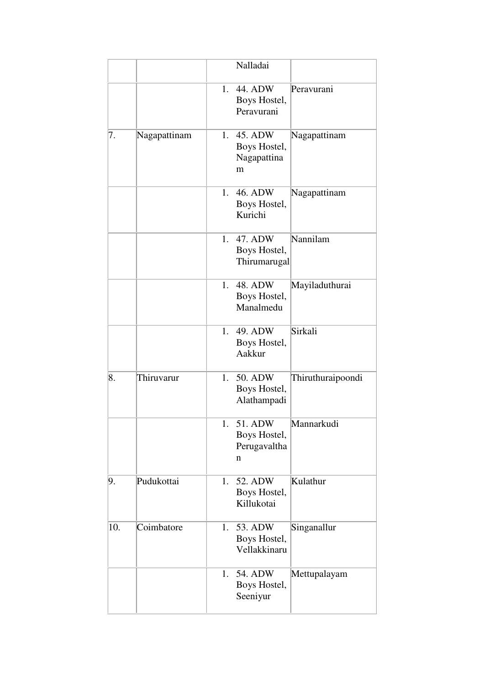|     |              |    | Nalladai                                     |                   |
|-----|--------------|----|----------------------------------------------|-------------------|
|     |              | 1. | 44. ADW<br>Boys Hostel,<br>Peravurani        | Peravurani        |
| 7.  | Nagapattinam | 1. | 45. ADW<br>Boys Hostel,<br>Nagapattina<br>m  | Nagapattinam      |
|     |              | 1. | 46. ADW<br>Boys Hostel,<br>Kurichi           | Nagapattinam      |
|     |              | 1. | 47. ADW<br>Boys Hostel,<br>Thirumarugal      | Nannilam          |
|     |              | 1. | 48. ADW<br>Boys Hostel,<br>Manalmedu         | Mayiladuthurai    |
|     |              | 1. | 49. ADW<br>Boys Hostel,<br>Aakkur            | Sirkali           |
| 8.  | Thiruvarur   | 1. | 50. ADW<br>Boys Hostel,<br>Alathampadi       | Thiruthuraipoondi |
|     |              | 1. | 51. ADW<br>Boys Hostel,<br>Perugavaltha<br>n | Mannarkudi        |
| 9.  | Pudukottai   | 1. | 52. ADW<br>Boys Hostel,<br>Killukotai        | Kulathur          |
| 10. | Coimbatore   | 1. | 53. ADW<br>Boys Hostel,<br>Vellakkinaru      | Singanallur       |
|     |              | 1. | 54. ADW<br>Boys Hostel,<br>Seeniyur          | Mettupalayam      |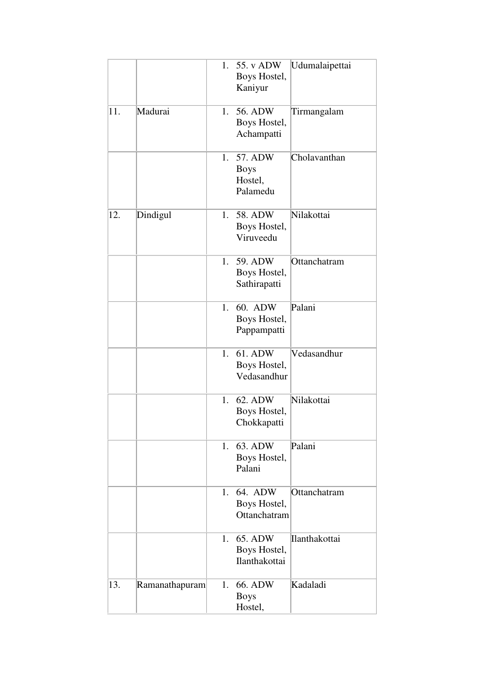|     |                | 1.          | 55. v ADW<br>Boys Hostel,<br>Kaniyur          | Udumalaipettai |
|-----|----------------|-------------|-----------------------------------------------|----------------|
| 11. | Madurai        | 1.          | 56. ADW<br>Boys Hostel,<br>Achampatti         | Tirmangalam    |
|     |                | 1.          | 57. ADW<br><b>Boys</b><br>Hostel,<br>Palamedu | Cholavanthan   |
| 12. | Dindigul       | $1_{\cdot}$ | 58. ADW<br>Boys Hostel,<br>Viruveedu          | Nilakottai     |
|     |                | 1.          | 59. ADW<br>Boys Hostel,<br>Sathirapatti       | Ottanchatram   |
|     |                | 1.          | 60. ADW<br>Boys Hostel,<br>Pappampatti        | Palani         |
|     |                |             | 1. 61. ADW<br>Boys Hostel,<br>Vedasandhur     | Vedasandhur    |
|     |                | 1.          | 62. ADW<br>Boys Hostel,<br>Chokkapatti        | Nilakottai     |
|     |                |             | 1. 63. ADW<br>Boys Hostel,<br>Palani          | Palani         |
|     |                | 1.          | 64. ADW<br>Boys Hostel,<br>Ottanchatram       | Ottanchatram   |
|     |                | 1.          | 65. ADW<br>Boys Hostel,<br>Ilanthakottai      | Ilanthakottai  |
| 13. | Ramanathapuram | 1.          | 66. ADW<br><b>Boys</b><br>Hostel,             | Kadaladi       |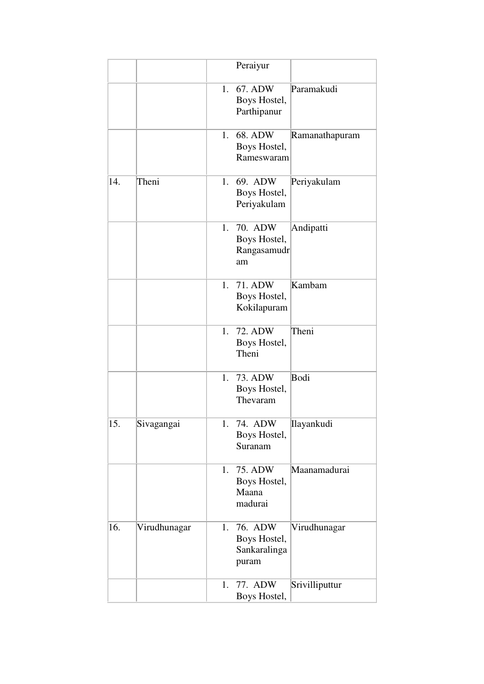|     |              |    | Peraiyur                                         |                |
|-----|--------------|----|--------------------------------------------------|----------------|
|     |              | 1. | 67. ADW<br>Boys Hostel,<br>Parthipanur           | Paramakudi     |
|     |              | 1. | 68. ADW<br>Boys Hostel,<br>Rameswaram            | Ramanathapuram |
| 14. | Theni        | 1. | 69. ADW<br>Boys Hostel,<br>Periyakulam           | Periyakulam    |
|     |              | 1. | 70. ADW<br>Boys Hostel,<br>Rangasamudr<br>am     | Andipatti      |
|     |              | 1. | 71. ADW<br>Boys Hostel,<br>Kokilapuram           | Kambam         |
|     |              | 1. | 72. ADW<br>Boys Hostel,<br>Theni                 | Theni          |
|     |              | 1. | 73. ADW<br>Boys Hostel,<br>Thevaram              | Bodi           |
| 15. | Sivagangai   | 1. | 74. ADW<br>Boys Hostel,<br>Suranam               | Ilayankudi     |
|     |              | 1. | 75. ADW<br>Boys Hostel,<br>Maana<br>madurai      | Maanamadurai   |
| 16. | Virudhunagar | 1. | 76. ADW<br>Boys Hostel,<br>Sankaralinga<br>puram | Virudhunagar   |
|     |              | 1. | 77. ADW<br>Boys Hostel,                          | Srivilliputtur |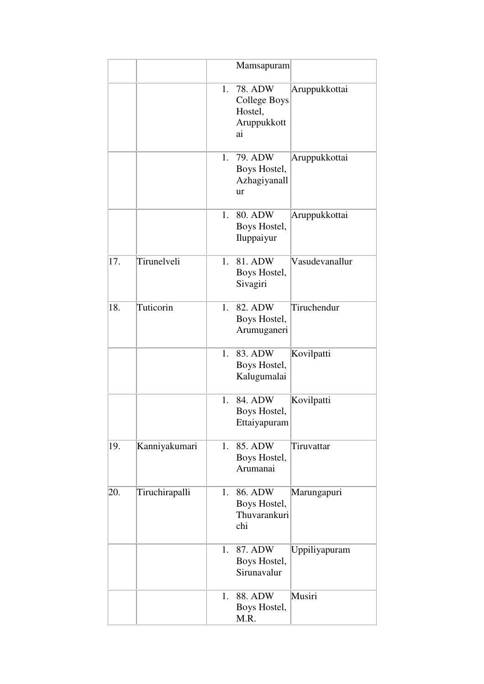|     |                |    | Mamsapuram                                                            |                |
|-----|----------------|----|-----------------------------------------------------------------------|----------------|
|     |                | 1. | <b>78. ADW</b><br><b>College Boys</b><br>Hostel,<br>Aruppukkott<br>ai | Aruppukkottai  |
|     |                | 1. | 79. ADW<br>Boys Hostel,<br>Azhagiyanall<br>ur                         | Aruppukkottai  |
|     |                | 1. | 80. ADW<br>Boys Hostel,<br>Iluppaiyur                                 | Aruppukkottai  |
| 17. | Tirunelveli    | 1. | 81. ADW<br>Boys Hostel,<br>Sivagiri                                   | Vasudevanallur |
| 18. | Tuticorin      | 1. | 82. ADW<br>Boys Hostel,<br>Arumuganeri                                | Tiruchendur    |
|     |                | 1. | 83. ADW<br>Boys Hostel,<br>Kalugumalai                                | Kovilpatti     |
|     |                | 1. | 84. ADW<br>Boys Hostel,<br>Ettaiyapuram                               | Kovilpatti     |
| 19. | Kanniyakumari  | 1. | 85. ADW<br>Boys Hostel,<br>Arumanai                                   | Tiruvattar     |
| 20. | Tiruchirapalli | 1. | 86. ADW<br>Boys Hostel,<br>Thuvarankuri<br>chi                        | Marungapuri    |
|     |                | 1. | 87. ADW<br>Boys Hostel,<br>Sirunavalur                                | Uppiliyapuram  |
|     |                | 1. | 88. ADW<br>Boys Hostel,<br>M.R.                                       | Musiri         |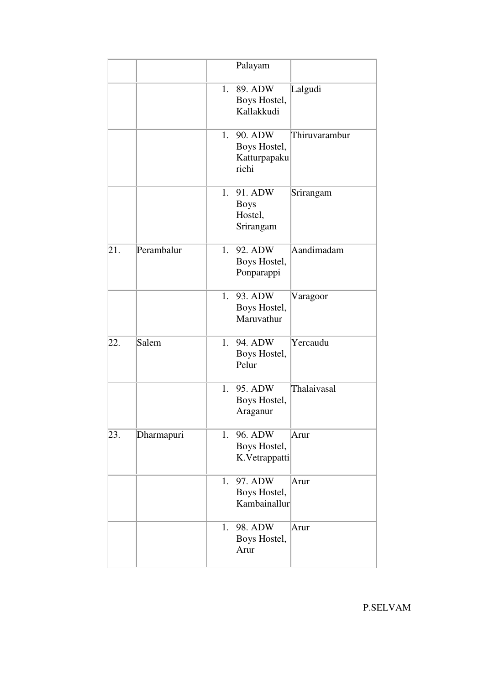|     |            |             | Palayam                                          |               |
|-----|------------|-------------|--------------------------------------------------|---------------|
|     |            | 1.          | 89. ADW<br>Boys Hostel,<br>Kallakkudi            | Lalgudi       |
|     |            | $1_{\cdot}$ | 90. ADW<br>Boys Hostel,<br>Katturpapaku<br>richi | Thiruvarambur |
|     |            | 1.          | 91. ADW<br><b>Boys</b><br>Hostel,<br>Srirangam   | Srirangam     |
| 21. | Perambalur | 1.          | 92. ADW<br>Boys Hostel,<br>Ponparappi            | Aandimadam    |
|     |            | 1.          | 93. ADW<br>Boys Hostel,<br>Maruvathur            | Varagoor      |
| 22. | Salem      | 1.          | 94. ADW<br>Boys Hostel,<br>Pelur                 | Yercaudu      |
|     |            | 1.          | 95. ADW<br>Boys Hostel,<br>Araganur              | Thalaivasal   |
| 23. | Dharmapuri |             | 1. 96. ADW<br>Boys Hostel,<br>K.Vetrappatti      | Arur          |
|     |            | 1.          | 97. ADW<br>Boys Hostel,<br>Kambainallur          | Arur          |
|     |            | 1.          | 98. ADW<br>Boys Hostel,<br>Arur                  | Arur          |

P.SELVAM